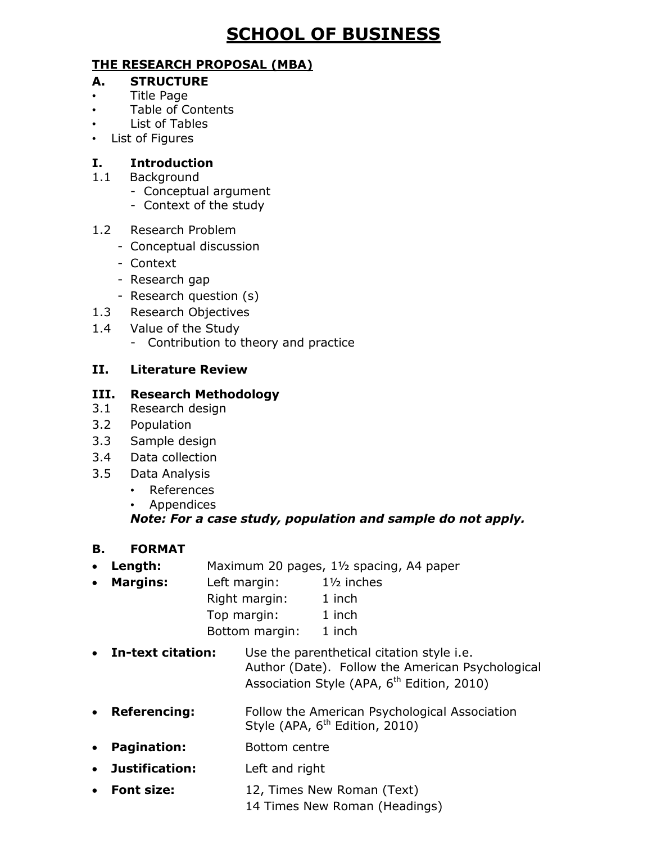# **SCHOOL OF BUSINESS**

#### **THE RESEARCH PROPOSAL (MBA)**

#### **A. STRUCTURE**

- Title Page
- Table of Contents
- List of Tables
- List of Figures

#### **I. Introduction**

- 1.1 Background
	- Conceptual argument
	- Context of the study

#### 1.2 Research Problem

- Conceptual discussion
- Context
- Research gap
- Research question (s)
- 1.3 Research Objectives
- 1.4 Value of the Study
	- Contribution to theory and practice

## **II. Literature Review**

#### **III. Research Methodology**

- 3.1 Research design
- 3.2 Population
- 3.3 Sample design
- 3.4 Data collection
- 3.5 Data Analysis
	- References
	- Appendices

## *Note: For a case study, population and sample do not apply.*

- **B. FORMAT**
- **Length:** Maximum 20 pages, 1½ spacing, A4 paper
- **Margins:** Left margin: 1½ inches Right margin: 1 inch Top margin: 1 inch Bottom margin: 1 inch
- **In-text citation:** Use the parenthetical citation style i.e. Author (Date). Follow the American Psychological Association Style (APA, 6<sup>th</sup> Edition, 2010)
- **Referencing:** Follow the American Psychological Association Style (APA, 6<sup>th</sup> Edition, 2010)
- **Pagination:** Bottom centre
- **Justification:** Left and right
- **Font size:** 12, Times New Roman (Text)
	- 14 Times New Roman (Headings)